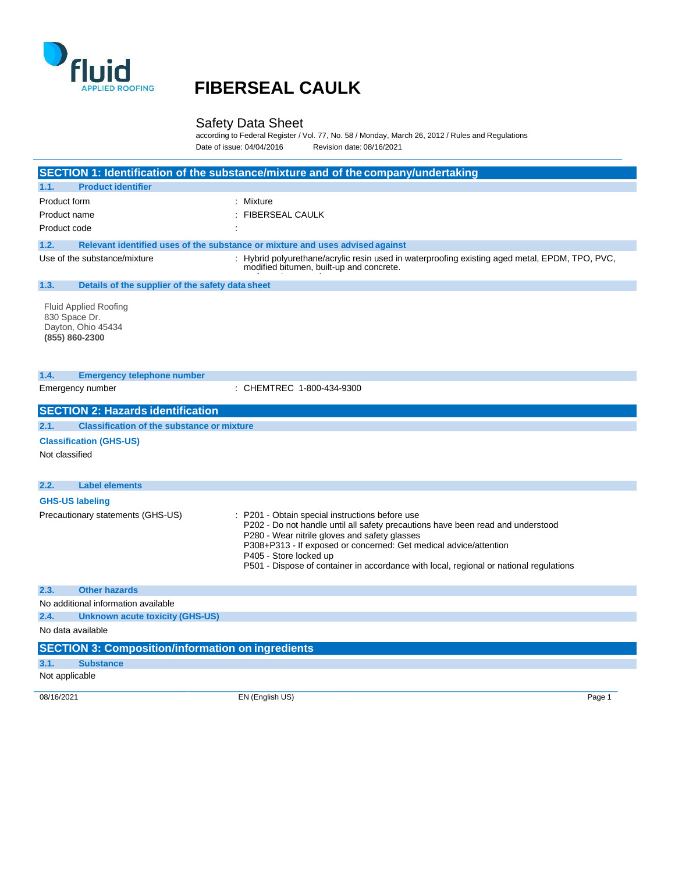

#### Safety Data Sheet

according to Federal Register / Vol. 77, No. 58 / Monday, March 26, 2012 / Rules and Regulations Date of issue: 04/04/2016 Revision date: 08/16/2021

|                                                                                                                                                                                                                                                         | SECTION 1: Identification of the substance/mixture and of the company/undertaking                                                                                                                                                                                                                                                                                          |
|---------------------------------------------------------------------------------------------------------------------------------------------------------------------------------------------------------------------------------------------------------|----------------------------------------------------------------------------------------------------------------------------------------------------------------------------------------------------------------------------------------------------------------------------------------------------------------------------------------------------------------------------|
| <b>Product identifier</b><br>1.1.                                                                                                                                                                                                                       |                                                                                                                                                                                                                                                                                                                                                                            |
| Product form                                                                                                                                                                                                                                            | : Mixture                                                                                                                                                                                                                                                                                                                                                                  |
| Product name                                                                                                                                                                                                                                            | <b>FIBERSEAL CAULK</b>                                                                                                                                                                                                                                                                                                                                                     |
| Product code                                                                                                                                                                                                                                            |                                                                                                                                                                                                                                                                                                                                                                            |
| 1.2.                                                                                                                                                                                                                                                    | Relevant identified uses of the substance or mixture and uses advised against                                                                                                                                                                                                                                                                                              |
| Use of the substance/mixture                                                                                                                                                                                                                            | : Hybrid polyurethane/acrylic resin used in waterproofing existing aged metal, EPDM, TPO, PVC,<br>modified bitumen, built-up and concrete.                                                                                                                                                                                                                                 |
| 1.3.<br>Details of the supplier of the safety data sheet                                                                                                                                                                                                |                                                                                                                                                                                                                                                                                                                                                                            |
| <b>Fluid Applied Roofing</b><br>830 Space Dr.<br>Dayton, Ohio 45434<br>(855) 860-2300                                                                                                                                                                   |                                                                                                                                                                                                                                                                                                                                                                            |
| 1.4.<br><b>Emergency telephone number</b><br>Emergency number                                                                                                                                                                                           | : CHEMTREC 1-800-434-9300                                                                                                                                                                                                                                                                                                                                                  |
|                                                                                                                                                                                                                                                         |                                                                                                                                                                                                                                                                                                                                                                            |
|                                                                                                                                                                                                                                                         |                                                                                                                                                                                                                                                                                                                                                                            |
| <b>Label elements</b>                                                                                                                                                                                                                                   |                                                                                                                                                                                                                                                                                                                                                                            |
|                                                                                                                                                                                                                                                         | P201 - Obtain special instructions before use<br>P202 - Do not handle until all safety precautions have been read and understood<br>P280 - Wear nitrile gloves and safety glasses<br>P308+P313 - If exposed or concerned: Get medical advice/attention<br>P405 - Store locked up<br>P501 - Dispose of container in accordance with local, regional or national regulations |
| <b>Other hazards</b>                                                                                                                                                                                                                                    |                                                                                                                                                                                                                                                                                                                                                                            |
|                                                                                                                                                                                                                                                         |                                                                                                                                                                                                                                                                                                                                                                            |
| <b>Unknown acute toxicity (GHS-US)</b>                                                                                                                                                                                                                  |                                                                                                                                                                                                                                                                                                                                                                            |
|                                                                                                                                                                                                                                                         |                                                                                                                                                                                                                                                                                                                                                                            |
|                                                                                                                                                                                                                                                         |                                                                                                                                                                                                                                                                                                                                                                            |
| <b>Substance</b>                                                                                                                                                                                                                                        |                                                                                                                                                                                                                                                                                                                                                                            |
| Not classified<br>2.2.<br><b>GHS-US labeling</b><br>Precautionary statements (GHS-US)<br>2.3.<br>No additional information available<br>2.4.<br>No data available<br><b>SECTION 3: Composition/information on ingredients</b><br>3.1.<br>Not applicable |                                                                                                                                                                                                                                                                                                                                                                            |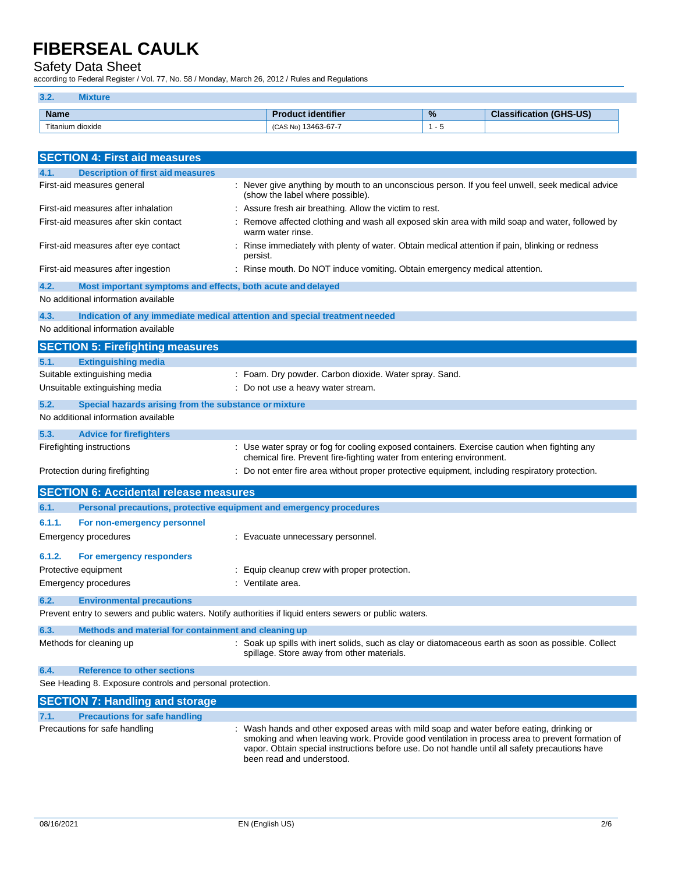#### Safety Data Sheet

according to Federal Register / Vol. 77, No. 58 / Monday, March 26, 2012 / Rules and Regulations

| 3.2.        | ture             |                           |                                              |                                |
|-------------|------------------|---------------------------|----------------------------------------------|--------------------------------|
| <b>Name</b> |                  | <b>Product identifier</b> | $\frac{9}{6}$                                | <b>Classification (GHS-US)</b> |
|             | Titanium dioxide | (CAS No) 13463-67-7       | . . <del>.</del><br>$\overline{\phantom{a}}$ |                                |

| <b>SECTION 4: First aid measures</b>                                                                                                                |                                                                                                                                                                      |
|-----------------------------------------------------------------------------------------------------------------------------------------------------|----------------------------------------------------------------------------------------------------------------------------------------------------------------------|
| 4.1.<br><b>Description of first aid measures</b>                                                                                                    |                                                                                                                                                                      |
| First-aid measures general                                                                                                                          | : Never give anything by mouth to an unconscious person. If you feel unwell, seek medical advice<br>(show the label where possible).                                 |
| First-aid measures after inhalation                                                                                                                 | : Assure fresh air breathing. Allow the victim to rest.                                                                                                              |
| First-aid measures after skin contact                                                                                                               | Remove affected clothing and wash all exposed skin area with mild soap and water, followed by<br>warm water rinse.                                                   |
| First-aid measures after eye contact                                                                                                                | Rinse immediately with plenty of water. Obtain medical attention if pain, blinking or redness<br>persist.                                                            |
| First-aid measures after ingestion                                                                                                                  | : Rinse mouth. Do NOT induce vomiting. Obtain emergency medical attention.                                                                                           |
| 4.2.<br>Most important symptoms and effects, both acute and delayed                                                                                 |                                                                                                                                                                      |
| No additional information available                                                                                                                 |                                                                                                                                                                      |
| 4.3.                                                                                                                                                | Indication of any immediate medical attention and special treatment needed                                                                                           |
| No additional information available                                                                                                                 |                                                                                                                                                                      |
| <b>SECTION 5: Firefighting measures</b>                                                                                                             |                                                                                                                                                                      |
| 5.1.<br><b>Extinguishing media</b>                                                                                                                  |                                                                                                                                                                      |
| Suitable extinguishing media                                                                                                                        | : Foam. Dry powder. Carbon dioxide. Water spray. Sand.                                                                                                               |
| Unsuitable extinguishing media                                                                                                                      | : Do not use a heavy water stream.                                                                                                                                   |
| 5.2.<br>Special hazards arising from the substance or mixture                                                                                       |                                                                                                                                                                      |
| No additional information available                                                                                                                 |                                                                                                                                                                      |
| 5.3.<br><b>Advice for firefighters</b>                                                                                                              |                                                                                                                                                                      |
| Firefighting instructions                                                                                                                           | : Use water spray or fog for cooling exposed containers. Exercise caution when fighting any<br>chemical fire. Prevent fire-fighting water from entering environment. |
| Protection during firefighting                                                                                                                      | Do not enter fire area without proper protective equipment, including respiratory protection.                                                                        |
| <b>SECTION 6: Accidental release measures</b>                                                                                                       |                                                                                                                                                                      |
| Personal precautions, protective equipment and emergency procedures<br>6.1.                                                                         |                                                                                                                                                                      |
| 6.1.1.<br>For non-emergency personnel                                                                                                               |                                                                                                                                                                      |
| Emergency procedures                                                                                                                                | : Evacuate unnecessary personnel.                                                                                                                                    |
| 6.1.2.<br>For emergency responders                                                                                                                  |                                                                                                                                                                      |
| Protective equipment                                                                                                                                | : Equip cleanup crew with proper protection.                                                                                                                         |
| Emergency procedures                                                                                                                                | : Ventilate area.                                                                                                                                                    |
|                                                                                                                                                     |                                                                                                                                                                      |
| 6.2.<br><b>Environmental precautions</b><br>Prevent entry to sewers and public waters. Notify authorities if liquid enters sewers or public waters. |                                                                                                                                                                      |
|                                                                                                                                                     |                                                                                                                                                                      |
| Methods and material for containment and cleaning up<br>6.3.                                                                                        |                                                                                                                                                                      |
| Methods for cleaning up                                                                                                                             | : Soak up spills with inert solids, such as clay or diatomaceous earth as soon as possible. Collect<br>spillage. Store away from other materials.                    |
| <b>Reference to other sections</b><br>6.4.                                                                                                          |                                                                                                                                                                      |
| See Heading 8. Exposure controls and personal protection.                                                                                           |                                                                                                                                                                      |
| <b>SECTION 7: Handling and storage</b>                                                                                                              |                                                                                                                                                                      |
| <b>Precautions for safe handling</b><br>7.1.                                                                                                        |                                                                                                                                                                      |
| Precautions for safe handling                                                                                                                       | : Wash hands and other exposed areas with mild soap and water before eating, drinking or                                                                             |

smoking and when leaving work. Provide good ventilation in process area to prevent formation of vapor. Obtain special instructions before use. Do not handle until all safety precautions have been read and understood.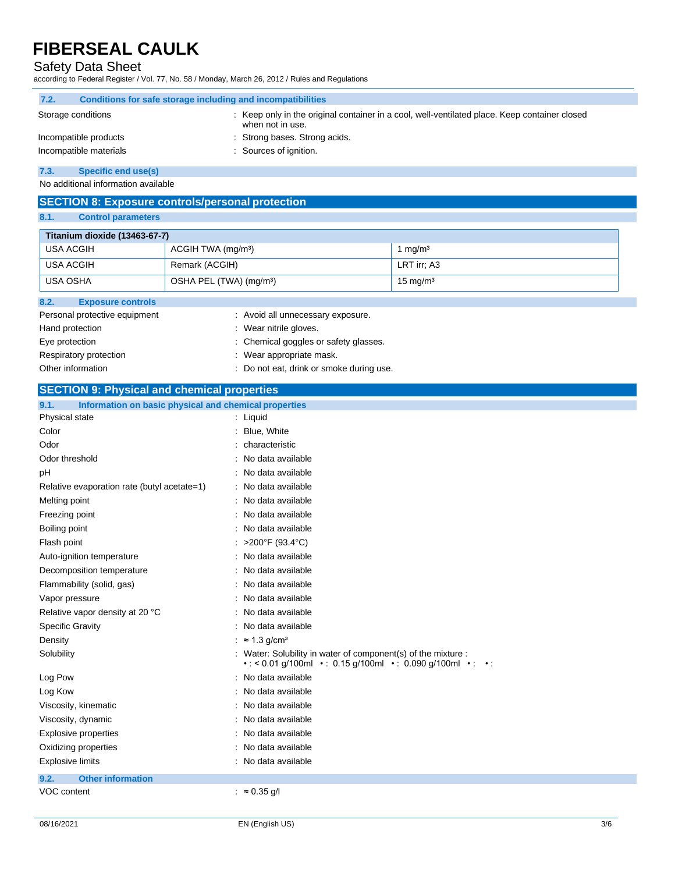### Safety Data Sheet

according to Federal Register / Vol. 77, No. 58 / Monday, March 26, 2012 / Rules and Regulations

| 7.2.               | Conditions for safe storage including and incompatibilities |                                                                                                                 |  |
|--------------------|-------------------------------------------------------------|-----------------------------------------------------------------------------------------------------------------|--|
| Storage conditions |                                                             | Keep only in the original container in a cool, well-ventilated place. Keep container closed<br>when not in use. |  |
|                    | Incompatible products                                       | : Strong bases. Strong acids.                                                                                   |  |
|                    | Incompatible materials                                      | Sources of ignition.                                                                                            |  |
| $ -$               |                                                             |                                                                                                                 |  |

**7.3. Specific end use(s)**

No additional information available

### **SECTION 8: Exposure controls/personal protection**

#### **8.1. Control parameters**

| Titanium dioxide (13463-67-7)               |                                     |                     |
|---------------------------------------------|-------------------------------------|---------------------|
| USA ACGIH<br>ACGIH TWA (mg/m <sup>3</sup> ) |                                     | 1 $mq/m3$           |
| USA ACGIH<br>Remark (ACGIH)                 |                                     | LRT irr; A3         |
| <b>USA OSHA</b>                             | OSHA PEL (TWA) (mg/m <sup>3</sup> ) | $15 \text{ mg/m}^3$ |
| 8.2.<br><b>Exposure controls</b>            |                                     |                     |
| Personal protective equipment               | : Avoid all unnecessary exposure.   |                     |
| Hand protection<br>: Wear nitrile gloves.   |                                     |                     |

Eye protection  $\qquad \qquad : \qquad$  Chemical goggles or safety glasses. Respiratory protection **in the contract of the CO** is a Wear appropriate mask.

Other information  $\qquad \qquad :$  Do not eat, drink or smoke during use.

#### **SECTION 9: Physical and chemical properties**

| 9.1.<br>Information on basic physical and chemical properties |                                                                                                                                                            |  |  |  |
|---------------------------------------------------------------|------------------------------------------------------------------------------------------------------------------------------------------------------------|--|--|--|
| Physical state                                                | : Liquid                                                                                                                                                   |  |  |  |
| Color                                                         | Blue, White                                                                                                                                                |  |  |  |
| Odor                                                          | characteristic                                                                                                                                             |  |  |  |
| Odor threshold                                                | No data available                                                                                                                                          |  |  |  |
| pH                                                            | No data available                                                                                                                                          |  |  |  |
| Relative evaporation rate (butyl acetate=1)                   | No data available                                                                                                                                          |  |  |  |
| Melting point                                                 | : No data available                                                                                                                                        |  |  |  |
| Freezing point                                                | No data available                                                                                                                                          |  |  |  |
| Boiling point                                                 | No data available                                                                                                                                          |  |  |  |
| Flash point                                                   | >200°F (93.4°C)                                                                                                                                            |  |  |  |
| Auto-ignition temperature                                     | No data available                                                                                                                                          |  |  |  |
| Decomposition temperature                                     | No data available                                                                                                                                          |  |  |  |
| Flammability (solid, gas)                                     | No data available                                                                                                                                          |  |  |  |
| Vapor pressure                                                | No data available                                                                                                                                          |  |  |  |
| Relative vapor density at 20 °C                               | No data available                                                                                                                                          |  |  |  |
| <b>Specific Gravity</b>                                       | No data available                                                                                                                                          |  |  |  |
| Density                                                       | : $\approx 1.3$ g/cm <sup>3</sup>                                                                                                                          |  |  |  |
| Solubility                                                    | : Water: Solubility in water of component(s) of the mixture :<br>$\cdot$ < 0.01 g/100ml $\cdot$ : 0.15 g/100ml $\cdot$ : 0.090 g/100ml $\cdot$ : $\cdot$ : |  |  |  |
| Log Pow                                                       | : No data available                                                                                                                                        |  |  |  |
| Log Kow                                                       | No data available                                                                                                                                          |  |  |  |
| Viscosity, kinematic                                          | No data available                                                                                                                                          |  |  |  |
| Viscosity, dynamic                                            | No data available                                                                                                                                          |  |  |  |
| <b>Explosive properties</b>                                   | No data available                                                                                                                                          |  |  |  |
| Oxidizing properties                                          | No data available                                                                                                                                          |  |  |  |
| <b>Explosive limits</b>                                       | : No data available                                                                                                                                        |  |  |  |
| <b>Other information</b><br>9.2.                              |                                                                                                                                                            |  |  |  |
| VOC content                                                   | : $\approx 0.35$ g/l                                                                                                                                       |  |  |  |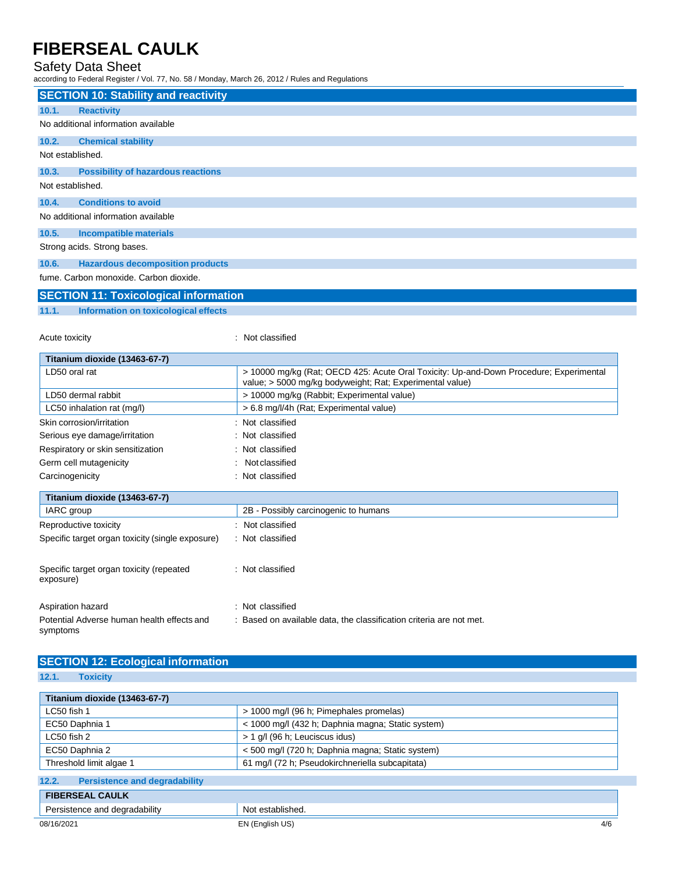### Safety Data Sheet

according to Federal Register / Vol. 77, No. 58 / Monday, March 26, 2012 / Rules and Regulations

|                  | <b>SECTION 10: Stability and reactivity</b>                                 |
|------------------|-----------------------------------------------------------------------------|
| 10.1.            | <b>Reactivity</b>                                                           |
|                  | No additional information available                                         |
| 10.2.            | <b>Chemical stability</b>                                                   |
| Not established. |                                                                             |
| 10.3.            | <b>Possibility of hazardous reactions</b>                                   |
| Not established. |                                                                             |
| 10.4.            | <b>Conditions to avoid</b>                                                  |
|                  | No additional information available                                         |
| 10.5.            | Incompatible materials                                                      |
|                  | Strong acids. Strong bases.                                                 |
| 10.6.            | <b>Hazardous decomposition products</b>                                     |
|                  | fume. Carbon monoxide. Carbon dioxide.<br><b>Contract Contract Contract</b> |

### **SECTION 11: Toxicological information**

**11.1. Information on toxicological effects**

Acute toxicity in the contract of the contract of the contract of the contract of the contract of the contract of the contract of the contract of the contract of the contract of the contract of the contract of the contract

| Titanium dioxide (13463-67-7)                    |                                                                                                                                                    |  |
|--------------------------------------------------|----------------------------------------------------------------------------------------------------------------------------------------------------|--|
| LD50 oral rat                                    | > 10000 mg/kg (Rat; OECD 425: Acute Oral Toxicity: Up-and-Down Procedure; Experimental<br>value; > 5000 mg/kg bodyweight; Rat; Experimental value) |  |
| LD50 dermal rabbit                               | > 10000 mg/kg (Rabbit; Experimental value)                                                                                                         |  |
| LC50 inhalation rat (mg/l)                       | > 6.8 mg/l/4h (Rat; Experimental value)                                                                                                            |  |
| Skin corrosion/irritation                        | : Not classified                                                                                                                                   |  |
| Serious eye damage/irritation                    | : Not classified                                                                                                                                   |  |
| Respiratory or skin sensitization                | : Not classified                                                                                                                                   |  |
| Germ cell mutagenicity                           | Not classified                                                                                                                                     |  |
| Carcinogenicity                                  | : Not classified                                                                                                                                   |  |
| Titanium dioxide (13463-67-7)                    |                                                                                                                                                    |  |
| IARC group                                       | 2B - Possibly carcinogenic to humans                                                                                                               |  |
| Reproductive toxicity                            | Not classified<br>٠                                                                                                                                |  |
| Specific target organ toxicity (single exposure) | : Not classified                                                                                                                                   |  |

| Specific target organ toxicity (repeated<br>exposure) | : Not classified |
|-------------------------------------------------------|------------------|
|                                                       |                  |

| Aspiration hazard                                      | : Not classified                                                  |
|--------------------------------------------------------|-------------------------------------------------------------------|
| Potential Adverse human health effects and<br>symptoms | Based on available data, the classification criteria are not met. |

### **SECTION 12: Ecological information**

**12.1. Toxicity**

| Titanium dioxide (13463-67-7)                                      |                                                   |     |  |
|--------------------------------------------------------------------|---------------------------------------------------|-----|--|
| > 1000 mg/l (96 h; Pimephales promelas)<br>LC50 fish 1             |                                                   |     |  |
| EC50 Daphnia 1                                                     | < 1000 mg/l (432 h; Daphnia magna; Static system) |     |  |
| LC50 fish 2                                                        | > 1 g/l (96 h; Leuciscus idus)                    |     |  |
| < 500 mg/l (720 h; Daphnia magna; Static system)<br>EC50 Daphnia 2 |                                                   |     |  |
| Threshold limit algae 1                                            | 61 mg/l (72 h; Pseudokirchneriella subcapitata)   |     |  |
| 12.2.<br><b>Persistence and degradability</b>                      |                                                   |     |  |
| <b>FIBERSEAL CAULK</b>                                             |                                                   |     |  |
| Persistence and degradability<br>Not established.                  |                                                   |     |  |
| 08/16/2021<br>EN (English US)                                      |                                                   | 4/6 |  |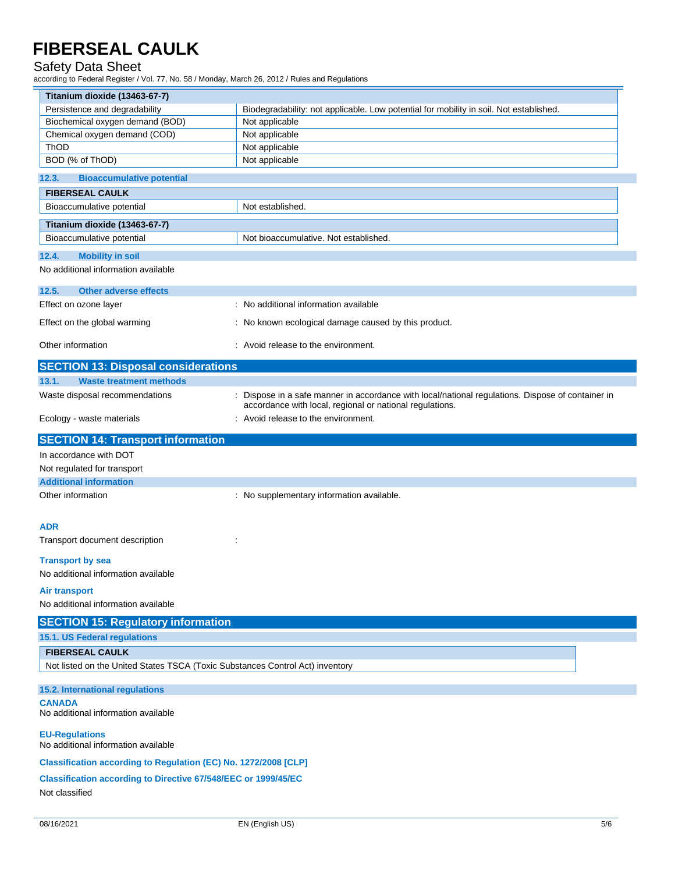#### Safety Data Sheet

according to Federal Register / Vol. 77, No. 58 / Monday, March 26, 2012 / Rules and Regulations

| Titanium dioxide (13463-67-7)                                                 |                                                                                                                                                             |  |  |
|-------------------------------------------------------------------------------|-------------------------------------------------------------------------------------------------------------------------------------------------------------|--|--|
| Persistence and degradability                                                 | Biodegradability: not applicable. Low potential for mobility in soil. Not established.                                                                      |  |  |
| Biochemical oxygen demand (BOD)                                               | Not applicable                                                                                                                                              |  |  |
| Chemical oxygen demand (COD)                                                  | Not applicable                                                                                                                                              |  |  |
| ThOD<br>BOD (% of ThOD)                                                       | Not applicable<br>Not applicable                                                                                                                            |  |  |
|                                                                               |                                                                                                                                                             |  |  |
| 12.3.<br><b>Bioaccumulative potential</b><br><b>FIBERSEAL CAULK</b>           |                                                                                                                                                             |  |  |
| Bioaccumulative potential                                                     | Not established.                                                                                                                                            |  |  |
|                                                                               |                                                                                                                                                             |  |  |
| Titanium dioxide (13463-67-7)<br>Bioaccumulative potential                    | Not bioaccumulative. Not established.                                                                                                                       |  |  |
| 12.4.<br><b>Mobility in soil</b>                                              |                                                                                                                                                             |  |  |
| No additional information available                                           |                                                                                                                                                             |  |  |
| 12.5.<br><b>Other adverse effects</b>                                         |                                                                                                                                                             |  |  |
| Effect on ozone layer                                                         | : No additional information available                                                                                                                       |  |  |
| Effect on the global warming                                                  | : No known ecological damage caused by this product.                                                                                                        |  |  |
| Other information                                                             | : Avoid release to the environment.                                                                                                                         |  |  |
| <b>SECTION 13: Disposal considerations</b>                                    |                                                                                                                                                             |  |  |
| <b>Waste treatment methods</b><br>13.1.                                       |                                                                                                                                                             |  |  |
| Waste disposal recommendations                                                | Dispose in a safe manner in accordance with local/national regulations. Dispose of container in<br>accordance with local, regional or national regulations. |  |  |
| Ecology - waste materials                                                     | : Avoid release to the environment.                                                                                                                         |  |  |
| <b>SECTION 14: Transport information</b>                                      |                                                                                                                                                             |  |  |
| In accordance with DOT                                                        |                                                                                                                                                             |  |  |
| Not regulated for transport                                                   |                                                                                                                                                             |  |  |
| <b>Additional information</b>                                                 |                                                                                                                                                             |  |  |
| Other information                                                             | : No supplementary information available.                                                                                                                   |  |  |
| <b>ADR</b>                                                                    |                                                                                                                                                             |  |  |
| Transport document description                                                |                                                                                                                                                             |  |  |
| <b>Transport by sea</b>                                                       |                                                                                                                                                             |  |  |
| No additional information available                                           |                                                                                                                                                             |  |  |
| <b>Air transport</b>                                                          |                                                                                                                                                             |  |  |
| No additional information available                                           |                                                                                                                                                             |  |  |
| <b>SECTION 15: Regulatory information</b>                                     |                                                                                                                                                             |  |  |
| 15.1. US Federal regulations                                                  |                                                                                                                                                             |  |  |
| <b>FIBERSEAL CAULK</b>                                                        |                                                                                                                                                             |  |  |
| Not listed on the United States TSCA (Toxic Substances Control Act) inventory |                                                                                                                                                             |  |  |
| 15.2. International regulations                                               |                                                                                                                                                             |  |  |
| <b>CANADA</b><br>No additional information available                          |                                                                                                                                                             |  |  |
| <b>EU-Regulations</b><br>No additional information available                  |                                                                                                                                                             |  |  |
| Classification according to Regulation (EC) No. 1272/2008 [CLP]               |                                                                                                                                                             |  |  |
| <b>Classification according to Directive 67/548/EEC or 1999/45/EC</b>         |                                                                                                                                                             |  |  |
| Not classified                                                                |                                                                                                                                                             |  |  |
|                                                                               |                                                                                                                                                             |  |  |